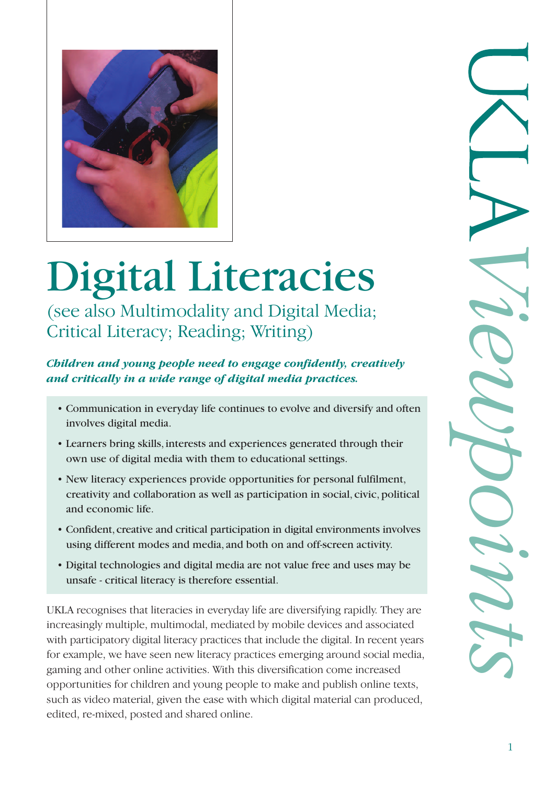

# Digital Literacies

(see also Multimodality and Digital Media; Critical Literacy; Reading; Writing)

*Children and young people need to engage confidently, creatively and critically in a wide range of digital media practices.*

- Communication in everyday life continues to evolve and diversify and often involves digital media.
- Learners bring skills, interests and experiences generated through their own use of digital media with them to educational settings.
- New literacy experiences provide opportunities for personal fulfilment, creativity and collaboration as well as participation in social, civic,political and economic life.
- Confident, creative and critical participation in digital environments involves using different modes and media, and both on and off-screen activity.
- Digital technologies and digital media are not value free and uses may be unsafe - critical literacy is therefore essential.

UKLA recognises that literacies in everyday life are diversifying rapidly. They are increasingly multiple, multimodal, mediated by mobile devices and associated with participatory digital literacy practices that include the digital. In recent years for example, we have seen new literacy practices emerging around social media, gaming and other online activities. With this diversification come increased opportunities for children and young people to make and publish online texts, such as video material, given the ease with which digital material can produced, edited, re-mixed, posted and shared online.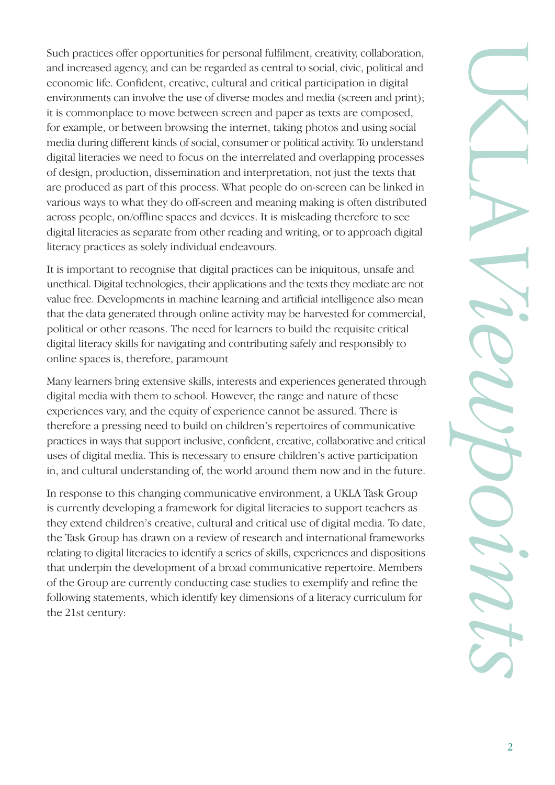Such practices offer opportunities for personal fulfilment, creativity, collaboration, and increased agency, and can be regarded as central to social, civic, political and economic life. Confident, creative, cultural and critical participation in digital environments can involve the use of diverse modes and media (screen and print); it is commonplace to move between screen and paper as texts are composed, for example, or between browsing the internet, taking photos and using social media during different kinds of social, consumer or political activity. To understand digital literacies we need to focus on the interrelated and overlapping processes of design, production, dissemination and interpretation, not just the texts that are produced as part of this process. What people do on-screen can be linked in various ways to what they do off-screen and meaning making is often distributed across people, on/offline spaces and devices. It is misleading therefore to see digital literacies as separate from other reading and writing, or to approach digital literacy practices as solely individual endeavours.

It is important to recognise that digital practices can be iniquitous, unsafe and unethical. Digital technologies, their applications and the texts they mediate are not value free. Developments in machine learning and artificial intelligence also mean that the data generated through online activity may be harvested for commercial, political or other reasons. The need for learners to build the requisite critical digital literacy skills for navigating and contributing safely and responsibly to online spaces is, therefore, paramount

Many learners bring extensive skills, interests and experiences generated through digital media with them to school. However, the range and nature of these experiences vary, and the equity of experience cannot be assured. There is therefore a pressing need to build on children's repertoires of communicative practices in ways that support inclusive, confident, creative, collaborative and critical uses of digital media. This is necessary to ensure children's active participation in, and cultural understanding of, the world around them now and in the future.

In response to this changing communicative environment, a UKLA Task Group is currently developing a framework for digital literacies to support teachers as they extend children's creative, cultural and critical use of digital media. To date, the Task Group has drawn on a review of research and international frameworks relating to digital literacies to identify a series of skills, experiences and dispositions that underpin the development of a broad communicative repertoire. Members of the Group are currently conducting case studies to exemplify and refine the following statements, which identify key dimensions of a literacy curriculum for the 21st century: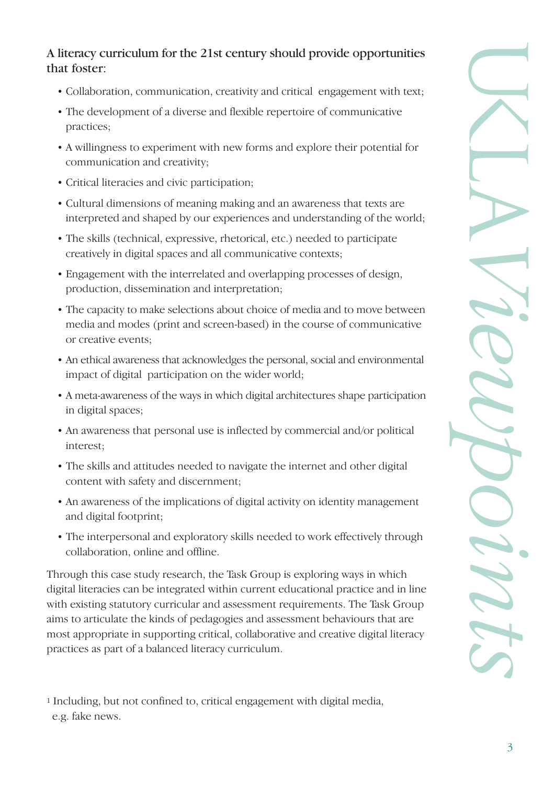### A literacy curriculum for the 21st century should provide opportunities that foster:

- Collaboration, communication, creativity and critical engagement with text;
- The development of a diverse and flexible repertoire of communicative practices;
- A willingness to experiment with new forms and explore their potential for communication and creativity;
- Critical literacies and civic participation;
- Cultural dimensions of meaning making and an awareness that texts are interpreted and shaped by our experiences and understanding of the world;
- The skills (technical, expressive, rhetorical, etc.) needed to participate creatively in digital spaces and all communicative contexts;
- Engagement with the interrelated and overlapping processes of design, production, dissemination and interpretation;
- The capacity to make selections about choice of media and to move between media and modes (print and screen-based) in the course of communicative or creative events;
- An ethical awareness that acknowledges the personal, social and environmental impact of digital participation on the wider world;
- A meta-awareness of the ways in which digital architectures shape participation in digital spaces;
- An awareness that personal use is inflected by commercial and/or political interest;
- The skills and attitudes needed to navigate the internet and other digital content with safety and discernment;
- An awareness of the implications of digital activity on identity management and digital footprint;
- The interpersonal and exploratory skills needed to work effectively through collaboration, online and offline.

Through this case study research, the Task Group is exploring ways in which digital literacies can be integrated within current educational practice and in line with existing statutory curricular and assessment requirements. The Task Group aims to articulate the kinds of pedagogies and assessment behaviours that are most appropriate in supporting critical, collaborative and creative digital literacy practices as part of a balanced literacy curriculum.

<sup>1</sup> Including, but not confined to, critical engagement with digital media, e.g. fake news.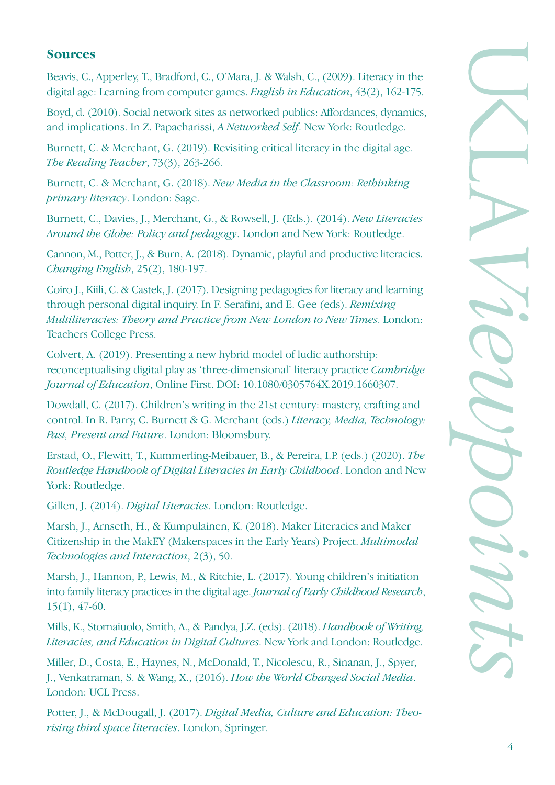#### **Sources**

Beavis, C., Apperley, T., Bradford, C., O'Mara, J. & Walsh, C., (2009). Literacy in the digital age: Learning from computer games. *English in Education*, 43(2), 162-175.

Boyd, d. (2010). Social network sites as networked publics: Affordances, dynamics, and implications. In Z. Papacharissi, *A Networked Self*. New York: Routledge.

Burnett, C. & Merchant, G. (2019). Revisiting critical literacy in the digital age. *The Reading Teacher*, 73(3), 263-266.

Burnett, C. & Merchant, G. (2018). *New Media in the Classroom: Rethinking primary literacy*. London: Sage.

Burnett, C., Davies, J., Merchant, G., & Rowsell, J. (Eds.). (2014). *New Literacies Around the Globe: Policy and pedagogy*. London and New York: Routledge.

Cannon, M., Potter, J., & Burn, A. (2018). Dynamic, playful and productive literacies. *Changing English*, 25(2), 180-197.

Coiro J., Kiili, C. & Castek, J. (2017). Designing pedagogies for literacy and learning through personal digital inquiry. In F. Serafini, and E. Gee (eds). *Remixing Multiliteracies: Theory and Practice from New London to New Times*. London: Teachers College Press.

Colvert, A. (2019). Presenting a new hybrid model of ludic authorship: reconceptualising digital play as 'three-dimensional' literacy practice *Cambridge Journal of Education*, Online First. DOI: 10.1080/0305764X.2019.1660307.

Dowdall, C. (2017). Children's writing in the 21st century: mastery, crafting and control. In R. Parry, C. Burnett & G. Merchant (eds.) *Literacy, Media, Technology: Past, Present and Future*. London: Bloomsbury.

Erstad, O., Flewitt, T., Kummerling-Meibauer, B., & Pereira, I.P. (eds.) (2020). *The Routledge Handbook of Digital Literacies in Early Childhood*. London and New York: Routledge.

Gillen, J. (2014). *Digital Literacies*. London: Routledge.

Marsh, J., Arnseth, H., & Kumpulainen, K. (2018). Maker Literacies and Maker Citizenship in the MakEY (Makerspaces in the Early Years) Project. *Multimodal Technologies and Interaction*, 2(3), 50.

Marsh, J., Hannon, P., Lewis, M., & Ritchie, L. (2017). Young children's initiation into family literacy practices in the digital age. *Journal of Early Childhood Research*, 15(1), 47-60.

Mills, K., Stornaiuolo, Smith, A., & Pandya, J.Z. (eds). (2018). *Handbook of Writing, Literacies, and Education in Digital Cultures*. New York and London: Routledge.

Miller, D., Costa, E., Haynes, N., McDonald, T., Nicolescu, R., Sinanan, J., Spyer, J., Venkatraman, S. & Wang, X., (2016). *How the World Changed Social Media*. London: UCL Press.

Potter, J., & McDougall, J. (2017). *Digital Media, Culture and Education: Theorising third space literacies*. London, Springer.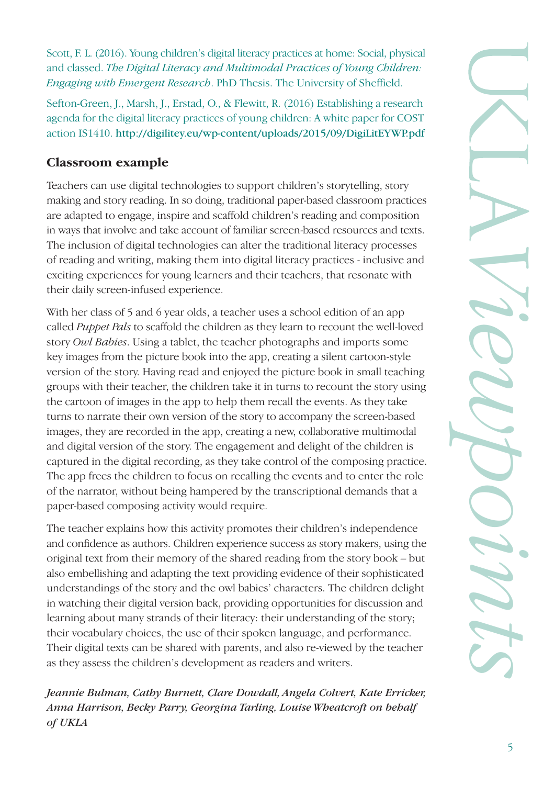Scott, F. L. (2016). Young children's digital literacy practices at home: Social, physical and classed. *The Digital Literacy and Multimodal Practices of Young Children: Engaging with Emergent Research*. PhD Thesis. The University of Sheffield.

Sefton-Green, J., Marsh, J., Erstad, O., & Flewitt, R. (2016) Establishing a research agenda for the digital literacy practices of young children: A white paper for COST action IS1410. http://digilitey.eu/wp-content/uploads/2015/09/DigiLitEYWP.pdf

## **Classroom example**

Teachers can use digital technologies to support children's storytelling, story making and story reading. In so doing, traditional paper-based classroom practices are adapted to engage, inspire and scaffold children's reading and composition in ways that involve and take account of familiar screen-based resources and texts. The inclusion of digital technologies can alter the traditional literacy processes of reading and writing, making them into digital literacy practices - inclusive and exciting experiences for young learners and their teachers, that resonate with their daily screen-infused experience.

With her class of 5 and 6 year olds, a teacher uses a school edition of an app called *Puppet Pals* to scaffold the children as they learn to recount the well-loved story *Owl Babies*. Using a tablet, the teacher photographs and imports some key images from the picture book into the app, creating a silent cartoon-style version of the story. Having read and enjoyed the picture book in small teaching groups with their teacher, the children take it in turns to recount the story using the cartoon of images in the app to help them recall the events. As they take turns to narrate their own version of the story to accompany the screen-based images, they are recorded in the app, creating a new, collaborative multimodal and digital version of the story. The engagement and delight of the children is captured in the digital recording, as they take control of the composing practice. The app frees the children to focus on recalling the events and to enter the role of the narrator, without being hampered by the transcriptional demands that a paper-based composing activity would require.

The teacher explains how this activity promotes their children's independence and confidence as authors. Children experience success as story makers, using the original text from their memory of the shared reading from the story book – but also embellishing and adapting the text providing evidence of their sophisticated understandings of the story and the owl babies' characters. The children delight in watching their digital version back, providing opportunities for discussion and learning about many strands of their literacy: their understanding of the story; their vocabulary choices, the use of their spoken language, and performance. Their digital texts can be shared with parents, and also re-viewed by the teacher as they assess the children's development as readers and writers.

*Jeannie Bulman, Cathy Burnett, Clare Dowdall, Angela Colvert, Kate Erricker, Anna Harrison, Becky Parry, Georgina Tarling, Louise Wheatcroft on behalf of UKLA*